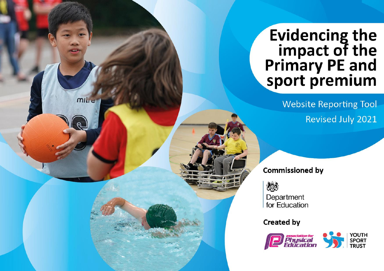## Evidencing the<br>
impact of the<br>
Primary PE and<br>
sport premium

**Website Reporting Tool** Revised July 2021

**Commissioned by** 

怨

**MILLE** 

Department for Education

**Created by** 

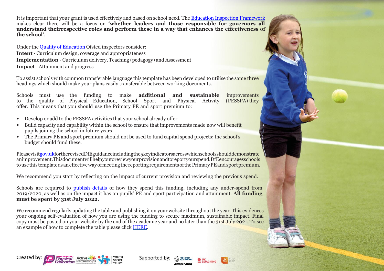It is important that your grant is used effectively and based on school need. The Education Inspection [Framework](https://assets.publishing.service.gov.uk/government/uploads/system/uploads/attachment_data/file/843108/School_inspection_handbook_-_section_5.pdf) makes clear there will be a focus on **'whether leaders and those responsible for governors all understand theirrespective roles and perform these in a way that enhances the effectiveness of the school'**.

Under the Quality of [Education](https://assets.publishing.service.gov.uk/government/uploads/system/uploads/attachment_data/file/843108/School_inspection_handbook_-_section_5.pdf) Ofsted inspectors consider: **Intent** - Curriculum design, coverage and appropriateness **Implementation** - Curriculum delivery, Teaching (pedagogy) and Assessment **Impact** - Attainment and progress

To assist schools with common transferable language this template has been developed to utilise the same three headings which should make your plans easily transferable between working documents.

Schools must use the funding to make **additional and sustainable** improvements to the quality of Physical Education, School Sport and Physical Activity (PESSPA) they to the quality of Physical Education, School Sport and Physical Activity offer. This means that you should use the Primary PE and sport premium to:

- Develop or add to the PESSPA activities that your school already offer
- Build capacity and capability within the school to ensure that improvements made now will benefit pupils joining the school in future years
- The Primary PE and sport premium should not be used to fund capital spend projects; the school's budget should fund these.

Pleasevisi[tgov.ukf](https://www.gov.uk/guidance/pe-and-sport-premium-for-primary-schools)ortherevisedDfEguidanceincludingthe5keyindicatorsacrosswhichschoolsshoulddemonstrate animprovement.Thisdocumentwillhelpyoutoreviewyourprovisionandtoreportyourspend.DfEencouragesschools to use this template as an effective way of meeting the reporting requirements of the Primary PE and sport premium.

We recommend you start by reflecting on the impact of current provision and reviewing the previous spend.

Schools are required to [publish details](https://www.gov.uk/guidance/what-maintained-schools-must-publish-online#pe-and-sport-premium-for-primary-schools) of how they spend this funding, including any under-spend from 2019/2020, as well as on the impact it has on pupils' PE and sport participation and attainment. **All funding must be spent by 31st July 2022.**

We recommend regularly updating the table and publishing it on your website throughout the year. This evidences your ongoing self-evaluation of how you are using the funding to secure maximum, sustainable impact. Final copy must be posted on your website by the end of the academic year and no later than the 31st July 2021. To see an example of how to complete the table please click [HERE.](http://www.afpe.org.uk/physical-education/wp-content/uploads/afPE-Example-Template-Indicator-2018-Final.pdf)



Supported by:

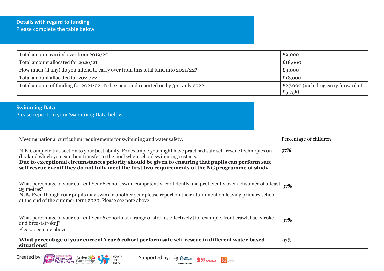## **Details with regard to funding** Please complete the table below.

| Total amount carried over from 2019/20                                              | £9,000                                             |
|-------------------------------------------------------------------------------------|----------------------------------------------------|
| Total amount allocated for 2020/21                                                  | £18,000                                            |
| How much (if any) do you intend to carry over from this total fund into 2021/22?    | £9,000                                             |
| Total amount allocated for 2021/22                                                  | £18,000                                            |
| Total amount of funding for 2021/22. To be spent and reported on by 31st July 2022. | E27.000 (including carry forward of<br>£5.75 $k$ ) |

## **Swimming Data** Please report on your Swimming Data below.

| Percentage of children                                                                                                      |
|-----------------------------------------------------------------------------------------------------------------------------|
|                                                                                                                             |
| 97%                                                                                                                         |
| What percentage of your current Year 6 cohort swim competently, confidently and proficiently over a distance of atleast 97% |
|                                                                                                                             |
|                                                                                                                             |
|                                                                                                                             |
|                                                                                                                             |
|                                                                                                                             |
| 97%                                                                                                                         |
|                                                                                                                             |
|                                                                                                                             |
| 97%                                                                                                                         |
|                                                                                                                             |
|                                                                                                                             |

**LOTTERY FUNDED** 



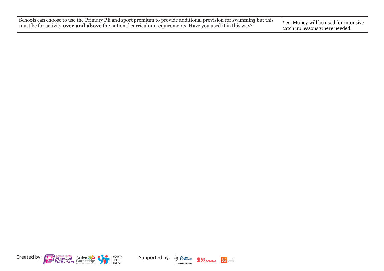

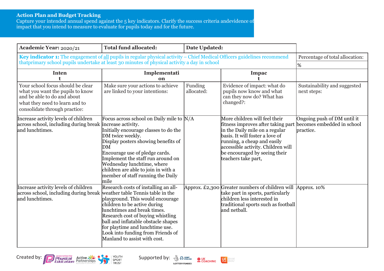## **Action Plan and Budget Tracking**

Capture your intended annual spend against the 5 key indicators. Clarify the success criteria andevidence of impact that you intend to measure to evaluate for pupils today and for the future.

Created by: Physical Active Bigger Supported by:  $\frac{1}{2}$  Separation Education Partnerships

| Academic Year: 2020/21                                                                                                                                                  | <b>Total fund allocated:</b>                                                                                                                                                                                                                                                                                                                | <b>Date Updated:</b>  |                                                                                                                                                                                                                                                                       |                                                                        |
|-------------------------------------------------------------------------------------------------------------------------------------------------------------------------|---------------------------------------------------------------------------------------------------------------------------------------------------------------------------------------------------------------------------------------------------------------------------------------------------------------------------------------------|-----------------------|-----------------------------------------------------------------------------------------------------------------------------------------------------------------------------------------------------------------------------------------------------------------------|------------------------------------------------------------------------|
| Key indicator 1: The engagement of all pupils in regular physical activity - Chief Medical Officers guidelines recommend                                                |                                                                                                                                                                                                                                                                                                                                             |                       |                                                                                                                                                                                                                                                                       | Percentage of total allocation:                                        |
| that primary school pupils undertake at least 30 minutes of physical activity a day in school                                                                           |                                                                                                                                                                                                                                                                                                                                             |                       |                                                                                                                                                                                                                                                                       | %                                                                      |
| <b>Inten</b>                                                                                                                                                            | Implementati<br>on                                                                                                                                                                                                                                                                                                                          |                       | Impac                                                                                                                                                                                                                                                                 |                                                                        |
| Your school focus should be clear<br>what you want the pupils to know<br>and be able to do and about<br>what they need to learn and to<br>consolidate through practice: | Make sure your actions to achieve<br>are linked to your intentions:                                                                                                                                                                                                                                                                         | Funding<br>allocated: | Evidence of impact: what do<br>pupils now know and what<br>can they now do? What has<br>changed?:                                                                                                                                                                     | Sustainability and suggested<br>next steps:                            |
| Increase activity levels of children<br>across school, including during break increase activity.<br>and lunchtimes.                                                     | Focus across school on Daily mile to N/A<br>Initially encourage classes to do the<br>DM twice weekly.<br>Display posters showing benefits of<br>DM<br>Encourage use of pledge cards.<br>Implement the staff run around on<br>Wednesday lunchtime, where<br>children are able to join in with a<br>member of staff running the Daily<br>mile |                       | More children will feel their<br>fitness improves after taking part<br>in the Daily mile on a regular<br>basis. It will foster a love of<br>running, a cheap and easily<br>accessible activity. Children will<br>be encouraged by seeing their<br>teachers take part, | Ongoing push of DM until it<br>becomes embedded in school<br>practice. |
| Increase activity levels of children<br>across school, including during break weather table Tennis table in the<br>and lunchtimes.                                      | Research costs of installing an all-<br>playground. This would encourage<br>children to be active during<br>lunchtimes and break times.<br>Research cost of buying whistling<br>ball and inflatable obstacle shapes<br>for playtime and lunchtime use.<br>Look into funding from Friends of<br>Manland to assist with cost.                 |                       | Approx. £2,300 Greater numbers of children will $\Delta$ pprox. 10%<br>take part in sports, particularly<br>children less interested in<br>traditional sports such as football<br>and netball.                                                                        |                                                                        |

 $\bullet$  UK<br>  $\bullet$  COACHING

**LOTTERY FUNDED** 

 $U\xi$ dorepeople<br>doreactive<br>doreaften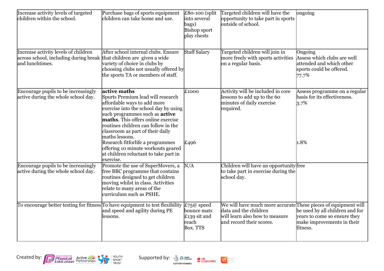| Increase activity levels of targeted<br>children within the school.                              | Purchase bags of sports equipment<br>children can take home and use.                                                                                                                                                                                                                                                                                                                                                                  | £80-100 (split<br>into several<br>bags)<br><b>Bishop sport</b><br>play chests | Targeted children will have the<br>opportunity to take part in sports<br>outside of school.                                                           | $\overline{\text{ongoing}}$                                                                               |
|--------------------------------------------------------------------------------------------------|---------------------------------------------------------------------------------------------------------------------------------------------------------------------------------------------------------------------------------------------------------------------------------------------------------------------------------------------------------------------------------------------------------------------------------------|-------------------------------------------------------------------------------|-------------------------------------------------------------------------------------------------------------------------------------------------------|-----------------------------------------------------------------------------------------------------------|
| Increase activity levels of children<br>across school, including during break<br>and lunchtimes. | After school internal clubs. Ensure<br>that children are given a wide<br>variety of choice in clubs by<br>choosing clubs not usually offered by<br>the sports TA or members of staff.                                                                                                                                                                                                                                                 | <b>Staff Salary</b>                                                           | Targeted children will join in<br>more freely with sports activities<br>on a regular basis.                                                           | Ongoing<br>Assess which clubs are well<br>attended and which other<br>sports could be offered.<br>77.7%   |
| Encourage pupils to be increasingly<br>active during the whole school day.                       | active maths<br>Sports Premium lead will research<br>affordable ways to add more<br>exercise into the school day by using<br>such programmes such as <b>active</b><br>maths. This offers online exercise<br>routines children can follow in the<br>classroom as part of their daily<br>maths lessons.<br>Research fitforlife a programmes<br>offering 10 minute workouts geared<br>at children reluctant to take part in<br>exercise. | £1000<br>E496                                                                 | Activity will be included in core<br>lessons to add up to the 60<br>minutes of daily exercise<br>required.                                            | Assess programme on a regular<br>basis for its effectiveness.<br>3.7%<br>1.8%                             |
| Encourage pupils to be increasingly<br>active during the whole school day.                       | Promote the use of SuperMovers, a<br>free BBC programme that contains<br>routines designed to get children<br>moving whilst in class. Activities<br>relate to many areas of the<br>curriculum such as PSHE.                                                                                                                                                                                                                           | N/A                                                                           | Children will have an opportunity free<br>to take part in exercise during the<br>school day.                                                          |                                                                                                           |
| To encourage better testing for fitness To have equipment to test flexibility                    | and speed and agility during PE<br>lessons.                                                                                                                                                                                                                                                                                                                                                                                           | £75@ speed<br>bounce mats<br>£139 sit and<br>reach<br>Box. TTS                | We will have much more accurate These pieces of equipment will<br>data and the children<br>will learn also how to measure<br>and record their scores. | be used by all children and for<br>years to come so ensure they<br>make improvements in their<br>fitness. |



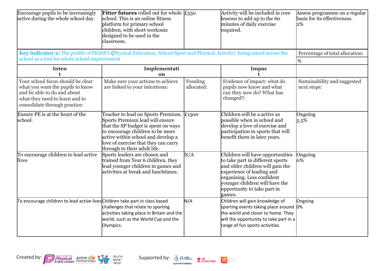| Encourage pupils to be increasingly<br>active during the whole school day.                                                                                               | Fitter futures rolled out for whole $\mathcal{E}_{550}$<br>school. This is an online fitness<br>platform for primary school<br>children, with short workouts<br>designed to be used in the<br>classroom.                                                             |                       | Activity will be included in core<br>lessons to add up to the 60<br>minutes of daily exercise<br>required.                                                                                                                                     | Assess programme on a regular<br>basis for its effectiveness.<br>2% |
|--------------------------------------------------------------------------------------------------------------------------------------------------------------------------|----------------------------------------------------------------------------------------------------------------------------------------------------------------------------------------------------------------------------------------------------------------------|-----------------------|------------------------------------------------------------------------------------------------------------------------------------------------------------------------------------------------------------------------------------------------|---------------------------------------------------------------------|
| Key indicator 2: The profile of PESSPA (Physical Education, School Sport and Physical Activity) being raised across the<br>school as a tool for whole school improvement |                                                                                                                                                                                                                                                                      |                       |                                                                                                                                                                                                                                                | Percentage of total allocation:<br>$\%$                             |
| <b>Inten</b><br>t                                                                                                                                                        | Implementati<br>on                                                                                                                                                                                                                                                   |                       | Impac<br>ŧ.                                                                                                                                                                                                                                    |                                                                     |
| Your school focus should be clear<br>what you want the pupils to know<br>and be able to do and about<br>what they need to learn and to<br>consolidate through practice:  | Make sure your actions to achieve<br>are linked to your intentions:                                                                                                                                                                                                  | Funding<br>allocated: | Evidence of impact: what do<br>pupils now know and what<br>can they now do? What has<br>changed?:                                                                                                                                              | Sustainability and suggested<br>next steps:                         |
| Ensure PE is at the heart of the<br>school.                                                                                                                              | Teacher to lead on Sports Premium. £1500<br>Sports Premium lead will ensure<br>that the SP budget is spent on ways<br>to encourage children to be more<br>active within school and develop a<br>love of exercise that they can carry<br>through to their adult life. |                       | Children will be a active as<br>possible when in school and<br>develop a love of exercise and<br>participation in sports that will<br>benefit them in later years.                                                                             | Ongoing<br>5.5%                                                     |
| To encourage children to lead active<br>lives                                                                                                                            | Sports leaders are chosen and<br>trained from Year 6 children, they<br>lead younger children in games and<br>activities at break and lunchtimes.                                                                                                                     | N/A                   | Children will have opportunities<br>to take part in different sports<br>and older children will gain the<br>experience of leading and<br>organising. Less confident<br>younger children will have the<br>opportunity to take part in<br>games. | Ongoing<br>0%                                                       |
| To encourage children to lead active lives Children take part in class based                                                                                             | challenges that relate to sporting<br>activities taking place in Britain and the<br>world, such as the World Cup and the<br>Olympics.                                                                                                                                | N/A                   | Children will gain knowledge of<br>sporting events taking place around 0%<br>the world and closer to home. They<br>will the opportunity to take part in a<br>range of fun sports activities.                                                   | Ongoing                                                             |



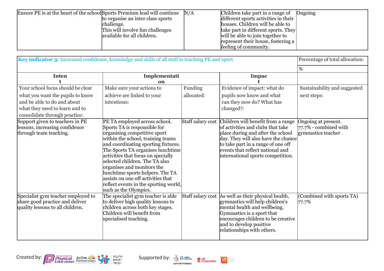| Ensure PE is at the heart of the school Sports Premium lead will continue |                                   | N/A | Children take part in a range of     | Ongoing |
|---------------------------------------------------------------------------|-----------------------------------|-----|--------------------------------------|---------|
|                                                                           | to organise an inter class sports |     | different sports activities in their |         |
|                                                                           | challenge.                        |     | houses. Children will be able to     |         |
|                                                                           | This will involve fun challenges  |     | take part in different sports. They  |         |
|                                                                           | available for all children.       |     | will be able to join together to     |         |
|                                                                           |                                   |     | represent their house, fostering a   |         |
|                                                                           |                                   |     | feeling of community.                |         |

| Key indicator 3: Increased confidence, knowledge and skills of all staff in teaching PE and sport         |                                                                                                                                                                                                                                                                                                                                                                                                                                                                  |                       |                                                                                                                                                                                                                                                                                      | Percentage of total allocation:                                       |
|-----------------------------------------------------------------------------------------------------------|------------------------------------------------------------------------------------------------------------------------------------------------------------------------------------------------------------------------------------------------------------------------------------------------------------------------------------------------------------------------------------------------------------------------------------------------------------------|-----------------------|--------------------------------------------------------------------------------------------------------------------------------------------------------------------------------------------------------------------------------------------------------------------------------------|-----------------------------------------------------------------------|
|                                                                                                           |                                                                                                                                                                                                                                                                                                                                                                                                                                                                  |                       | $\frac{9}{6}$                                                                                                                                                                                                                                                                        |                                                                       |
| <b>Inten</b>                                                                                              | Implementati<br>on                                                                                                                                                                                                                                                                                                                                                                                                                                               |                       | <b>Impac</b>                                                                                                                                                                                                                                                                         |                                                                       |
| Your school focus should be clear<br>what you want the pupils to know                                     | Make sure your actions to<br>achieve are linked to your                                                                                                                                                                                                                                                                                                                                                                                                          | Funding<br>allocated: | Evidence of impact: what do<br>pupils now know and what                                                                                                                                                                                                                              | Sustainability and suggested<br>next steps:                           |
| and be able to do and about<br>what they need to learn and to<br>consolidate through practice:            | intentions:                                                                                                                                                                                                                                                                                                                                                                                                                                                      |                       | can they now do? What has<br>changed?:                                                                                                                                                                                                                                               |                                                                       |
| Support given to teachers in PE<br>lessons, increasing confidence<br>through team teaching.               | PE TA employed across school.<br>Sports TA is responsible for<br>organising competitive sport<br>within the school, training teams<br>and coordinating sporting fixtures.<br>The Sports TA organises lunchtime<br>activities that focus on specially<br>selected children. The TA also<br>organises and monitors the<br>lunchtime sports helpers. The TA<br>assists on one off activities that<br>reflect events in the sporting world,<br>such as the Olympics. |                       | Staff salary cost Children will benefit from a range<br>of activities and clubs that take<br>place during and after the school<br>day. They will also have the chance<br>to take part in a range of one off<br>events that reflect national and<br>international sports competition. | Ongoing at present.<br>$77.7\%$ - combined with<br>gymnastics teacher |
| Specialist gym teacher employed to<br>share good practice and deliver<br>quality lessons to all children. | The specialist gym teacher is able<br>to deliver high quality lessons to<br>children across both key stages.<br>Children will benefit from<br>specialised teaching.                                                                                                                                                                                                                                                                                              |                       | Staff salary cost   As well as their physical health,<br>gymnastics will help children's<br>mental health and wellbeing.<br>Gymnastics is a sport that<br>encourages children to be creative<br>and to develop positive<br>relationships with others.                                | (Combined with sports TA)<br>77.7%                                    |



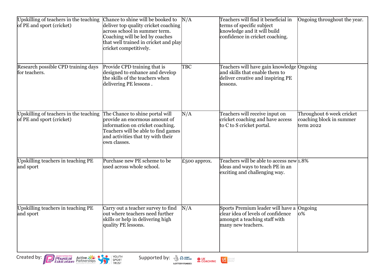| Upskilling of teachers in the teaching<br>of PE and sport (cricket) | Chance to shine will be booked to<br>deliver top quality cricket coaching<br>across school in summer term.<br>Coaching will be led by coaches<br>that well trained in cricket and play<br>cricket competitively. | N/A          | Teachers will find it beneficial in<br>terms of specific subject<br>knowledge and it will build<br>confidence in cricket coaching.     | Ongoing throughout the year.                                         |
|---------------------------------------------------------------------|------------------------------------------------------------------------------------------------------------------------------------------------------------------------------------------------------------------|--------------|----------------------------------------------------------------------------------------------------------------------------------------|----------------------------------------------------------------------|
| Research possible CPD training days<br>for teachers.                | Provide CPD training that is<br>designed to enhance and develop<br>the skills of the teachers when<br>delivering PE lessons.                                                                                     | TBC          | Teachers will have gain knowledge Ongoing<br>and skills that enable them to<br>deliver creative and inspiring PE<br>lessons.           |                                                                      |
| Upskilling of teachers in the teaching<br>of PE and sport (cricket) | The Chance to shine portal will<br>provide an enormous amount of<br>information on cricket coaching.<br>Teachers will be able to find games<br>and activities that try with their<br>own classes.                | N/A          | Teachers will receive input on<br>cricket coaching and have access<br>to C to S cricket portal.                                        | Throughout 6 week cricket<br>coaching block in summer<br>term $2022$ |
| Upskilling teachers in teaching PE<br>and sport                     | Purchase new PE scheme to be<br>used across whole school.                                                                                                                                                        | £500 approx. | Teachers will be able to access new $1.8\%$<br>ideas and ways to teach PE in an<br>exciting and challenging way.                       |                                                                      |
| Upskilling teachers in teaching PE<br>and sport                     | Carry out a teacher survey to find<br>out where teachers need further<br>skills or help in delivering high<br>quality PE lessons.                                                                                | N/A          | Sports Premium leader will have a Ongoing<br>clear idea of levels of confidence<br>amongst a teaching staff with<br>many new teachers. | 0%                                                                   |



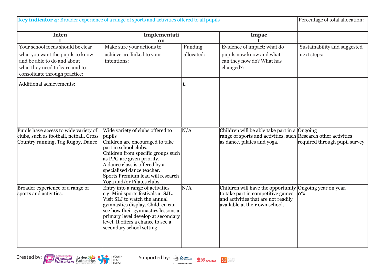| Key indicator 4: Broader experience of a range of sports and activities offered to all pupils                                                                           | Percentage of total allocation:                                                                                                                                                                                                                                                                             |                       |                                                                                                                                                  |                                             |
|-------------------------------------------------------------------------------------------------------------------------------------------------------------------------|-------------------------------------------------------------------------------------------------------------------------------------------------------------------------------------------------------------------------------------------------------------------------------------------------------------|-----------------------|--------------------------------------------------------------------------------------------------------------------------------------------------|---------------------------------------------|
| <b>Inten</b><br>t                                                                                                                                                       | Implementati<br>on                                                                                                                                                                                                                                                                                          |                       | <b>Impac</b>                                                                                                                                     |                                             |
| Your school focus should be clear<br>what you want the pupils to know<br>and be able to do and about<br>what they need to learn and to<br>consolidate through practice: | Make sure your actions to<br>achieve are linked to your<br>intentions:                                                                                                                                                                                                                                      | Funding<br>allocated: | Evidence of impact: what do<br>pupils now know and what<br>can they now do? What has<br>changed?:                                                | Sustainability and suggested<br>next steps: |
| Additional achievements:                                                                                                                                                |                                                                                                                                                                                                                                                                                                             | £                     |                                                                                                                                                  |                                             |
| Pupils have access to wide variety of<br>clubs, such as football, netball, Cross<br>Country running, Tag Rugby, Dance                                                   | Wide variety of clubs offered to<br>pupils<br>Children are encouraged to take<br>part in school clubs.<br>Children from specific groups such<br>as PPG are given priority.<br>A dance class is offered by a<br>specialised dance teacher.<br>Sports Premium lead will research<br>Yoga and/or Pilates clubs | N/A                   | Children will be able take part in a Ongoing<br>range of sports and activities, such Research other activities<br>as dance, pilates and yoga.    | required through pupil survey.              |
| Broader experience of a range of<br>sports and activities.                                                                                                              | Entry into a range of activities<br>e.g. Mini sports festivals at SJL.<br>Visit SLJ to watch the annual<br>gymnastics display. Children can<br>see how their gymnastics lessons at<br>primary level develop at secondary<br>level. It offers a chance to see a<br>secondary school setting.                 | N/A                   | Children will have the opportunity<br>to take part in competitive games<br>and activities that are not readily<br>available at their own school. | Ongoing year on year.<br>$\log$             |



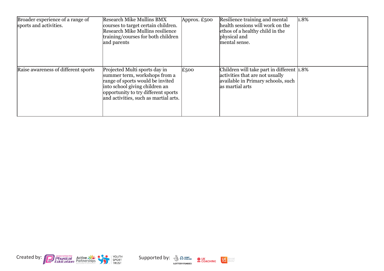| Broader experience of a range of<br>sports and activities. | <b>Research Mike Mullins BMX</b><br>courses to target certain children.<br>Research Mike Mullins resilience<br>training/courses for both children<br>and parents                                                     | Approx. $£500$ | Resilience training and mental<br>health sessions will work on the<br>ethos of a healthy child in the<br>physical and<br>mental sense. | 1.8% |
|------------------------------------------------------------|----------------------------------------------------------------------------------------------------------------------------------------------------------------------------------------------------------------------|----------------|----------------------------------------------------------------------------------------------------------------------------------------|------|
| Raise awareness of different sports                        | Projected Multi sports day in<br>summer term, workshops from a<br>range of sports would be invited<br>into school giving children an<br>opportunity to try different sports<br>and activities, such as martial arts. | $E_{500}$      | Children will take part in different 1.8%<br>activities that are not usually<br>available in Primary schools, such<br>as martial arts  |      |





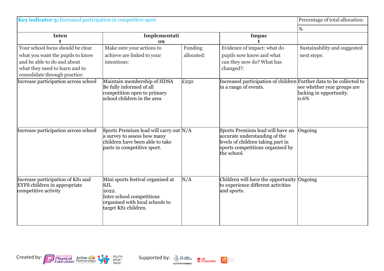| Key indicator 5: Increased participation in competitive sport                                                                      | Percentage of total allocation:                                                                                                           |            |                                                                                                                                                           |                                                                |
|------------------------------------------------------------------------------------------------------------------------------------|-------------------------------------------------------------------------------------------------------------------------------------------|------------|-----------------------------------------------------------------------------------------------------------------------------------------------------------|----------------------------------------------------------------|
|                                                                                                                                    | %                                                                                                                                         |            |                                                                                                                                                           |                                                                |
| <b>Inten</b>                                                                                                                       | Implementati<br>on                                                                                                                        |            | Impac                                                                                                                                                     |                                                                |
| Your school focus should be clear                                                                                                  | Make sure your actions to                                                                                                                 | Funding    | Evidence of impact: what do                                                                                                                               | Sustainability and suggested                                   |
| what you want the pupils to know<br>and be able to do and about<br>what they need to learn and to<br>consolidate through practice: | achieve are linked to your<br>intentions:                                                                                                 | allocated: | pupils now know and what<br>can they now do? What has<br>changed?:                                                                                        | next steps:                                                    |
| Increase participation across school                                                                                               | Maintain membership of HDSA<br>Be fully informed of all<br>competition open to primary<br>school children in the area                     | £250       | Increased participation of children Further data to be collected to<br>in a range of events.                                                              | see whether year groups are<br>lacking in opportunity.<br>0.6% |
| Increase participation across school                                                                                               | Sports Premium lead will carry out N/A<br>a survey to assess how many<br>children have been able to take<br>parts in competitive sport.   |            | Sports Premium lead will have an<br>accurate understanding of the<br>levels of children taking part in<br>sports competitions organised by<br>the school. | Ongoing                                                        |
| Increase participation of KS1 and<br><b>EYFS</b> children in appropriate<br>competitive activity                                   | Mini sports festival organised at<br>SJL<br>2022.<br>Inter school competitions<br>organised with local schools to<br>target KS1 children. | N/A        | Children will have the opportunity Ongoing<br>to experience different activities<br>and sports.                                                           |                                                                |